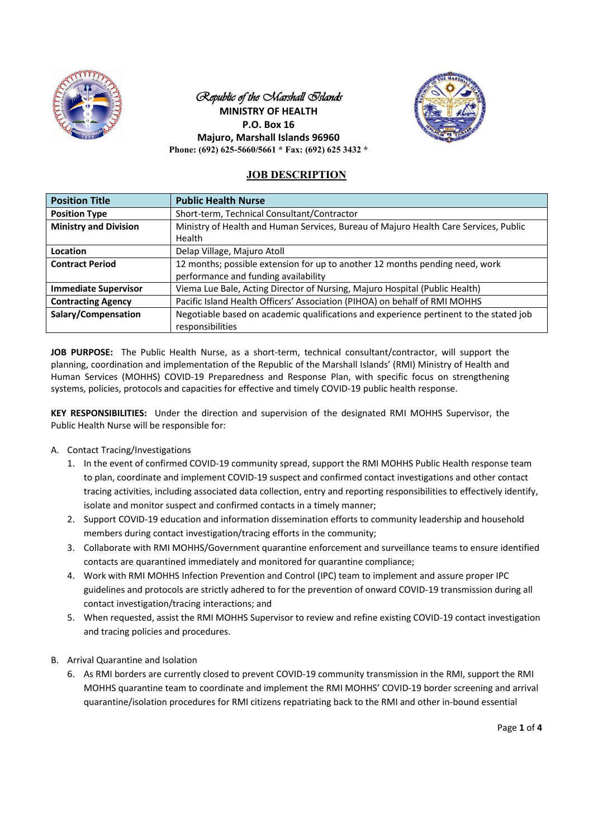

## Republic of the *Marshall Slands* **MINISTRY OF HEALTH P.O. Box 16 Majuro, Marshall Islands 96960 Phone: (692) 625-5660/5661 \* Fax: (692) 625 3432 \***



# **JOB DESCRIPTION**

| <b>Position Title</b>        | <b>Public Health Nurse</b>                                                                     |
|------------------------------|------------------------------------------------------------------------------------------------|
| <b>Position Type</b>         | Short-term, Technical Consultant/Contractor                                                    |
| <b>Ministry and Division</b> | Ministry of Health and Human Services, Bureau of Majuro Health Care Services, Public<br>Health |
| Location                     | Delap Village, Majuro Atoll                                                                    |
| <b>Contract Period</b>       | 12 months; possible extension for up to another 12 months pending need, work                   |
|                              | performance and funding availability                                                           |
| <b>Immediate Supervisor</b>  | Viema Lue Bale, Acting Director of Nursing, Majuro Hospital (Public Health)                    |
| <b>Contracting Agency</b>    | Pacific Island Health Officers' Association (PIHOA) on behalf of RMI MOHHS                     |
| Salary/Compensation          | Negotiable based on academic qualifications and experience pertinent to the stated job         |
|                              | responsibilities                                                                               |

**JOB PURPOSE:** The Public Health Nurse, as a short-term, technical consultant/contractor, will support the planning, coordination and implementation of the Republic of the Marshall Islands' (RMI) Ministry of Health and Human Services (MOHHS) COVID-19 Preparedness and Response Plan, with specific focus on strengthening systems, policies, protocols and capacities for effective and timely COVID-19 public health response.

**KEY RESPONSIBILITIES:** Under the direction and supervision of the designated RMI MOHHS Supervisor, the Public Health Nurse will be responsible for:

- A. Contact Tracing/Investigations
	- 1. In the event of confirmed COVID-19 community spread, support the RMI MOHHS Public Health response team to plan, coordinate and implement COVID-19 suspect and confirmed contact investigations and other contact tracing activities, including associated data collection, entry and reporting responsibilities to effectively identify, isolate and monitor suspect and confirmed contacts in a timely manner;
	- 2. Support COVID-19 education and information dissemination efforts to community leadership and household members during contact investigation/tracing efforts in the community;
	- 3. Collaborate with RMI MOHHS/Government quarantine enforcement and surveillance teams to ensure identified contacts are quarantined immediately and monitored for quarantine compliance;
	- 4. Work with RMI MOHHS Infection Prevention and Control (IPC) team to implement and assure proper IPC guidelines and protocols are strictly adhered to for the prevention of onward COVID-19 transmission during all contact investigation/tracing interactions; and
	- 5. When requested, assist the RMI MOHHS Supervisor to review and refine existing COVID-19 contact investigation and tracing policies and procedures.
- B. Arrival Quarantine and Isolation
	- 6. As RMI borders are currently closed to prevent COVID-19 community transmission in the RMI, support the RMI MOHHS quarantine team to coordinate and implement the RMI MOHHS' COVID-19 border screening and arrival quarantine/isolation procedures for RMI citizens repatriating back to the RMI and other in-bound essential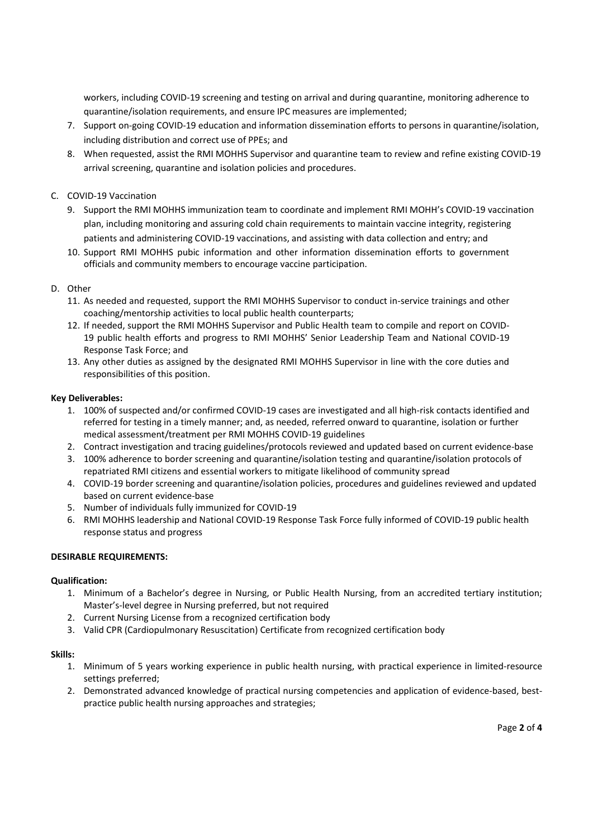workers, including COVID-19 screening and testing on arrival and during quarantine, monitoring adherence to quarantine/isolation requirements, and ensure IPC measures are implemented;

- 7. Support on-going COVID-19 education and information dissemination efforts to persons in quarantine/isolation, including distribution and correct use of PPEs; and
- 8. When requested, assist the RMI MOHHS Supervisor and quarantine team to review and refine existing COVID-19 arrival screening, quarantine and isolation policies and procedures.

## C. COVID-19 Vaccination

- 9. Support the RMI MOHHS immunization team to coordinate and implement RMI MOHH's COVID-19 vaccination plan, including monitoring and assuring cold chain requirements to maintain vaccine integrity, registering patients and administering COVID-19 vaccinations, and assisting with data collection and entry; and
- 10. Support RMI MOHHS pubic information and other information dissemination efforts to government officials and community members to encourage vaccine participation.

### D. Other

- 11. As needed and requested, support the RMI MOHHS Supervisor to conduct in-service trainings and other coaching/mentorship activities to local public health counterparts;
- 12. If needed, support the RMI MOHHS Supervisor and Public Health team to compile and report on COVID-19 public health efforts and progress to RMI MOHHS' Senior Leadership Team and National COVID-19 Response Task Force; and
- 13. Any other duties as assigned by the designated RMI MOHHS Supervisor in line with the core duties and responsibilities of this position.

### **Key Deliverables:**

- 1. 100% of suspected and/or confirmed COVID-19 cases are investigated and all high-risk contacts identified and referred for testing in a timely manner; and, as needed, referred onward to quarantine, isolation or further medical assessment/treatment per RMI MOHHS COVID-19 guidelines
- 2. Contract investigation and tracing guidelines/protocols reviewed and updated based on current evidence-base
- 3. 100% adherence to border screening and quarantine/isolation testing and quarantine/isolation protocols of repatriated RMI citizens and essential workers to mitigate likelihood of community spread
- 4. COVID-19 border screening and quarantine/isolation policies, procedures and guidelines reviewed and updated based on current evidence-base
- 5. Number of individuals fully immunized for COVID-19
- 6. RMI MOHHS leadership and National COVID-19 Response Task Force fully informed of COVID-19 public health response status and progress

## **DESIRABLE REQUIREMENTS:**

#### **Qualification:**

- 1. Minimum of a Bachelor's degree in Nursing, or Public Health Nursing, from an accredited tertiary institution; Master's-level degree in Nursing preferred, but not required
- 2. Current Nursing License from a recognized certification body
- 3. Valid CPR (Cardiopulmonary Resuscitation) Certificate from recognized certification body

#### **Skills:**

- 1. Minimum of 5 years working experience in public health nursing, with practical experience in limited-resource settings preferred;
- 2. Demonstrated advanced knowledge of practical nursing competencies and application of evidence-based, bestpractice public health nursing approaches and strategies;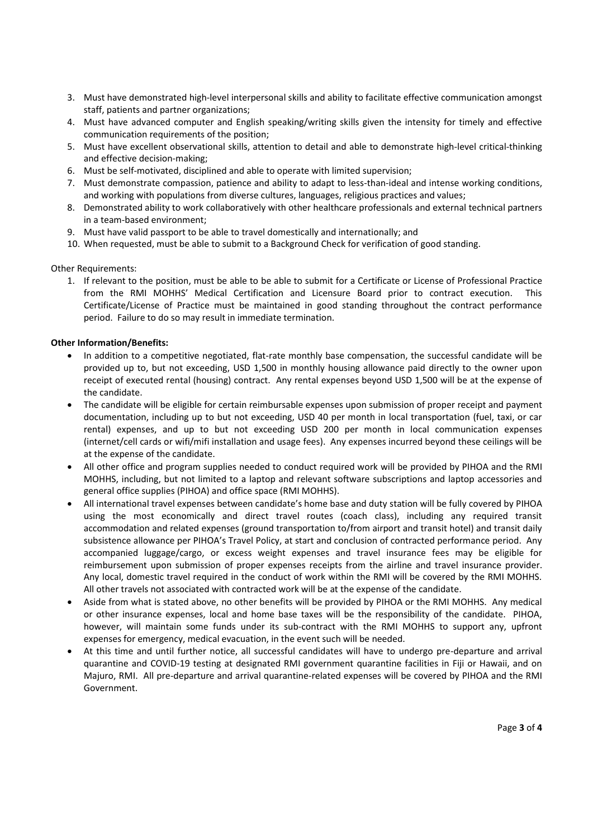- 3. Must have demonstrated high-level interpersonal skills and ability to facilitate effective communication amongst staff, patients and partner organizations;
- 4. Must have advanced computer and English speaking/writing skills given the intensity for timely and effective communication requirements of the position;
- 5. Must have excellent observational skills, attention to detail and able to demonstrate high-level critical-thinking and effective decision-making;
- 6. Must be self-motivated, disciplined and able to operate with limited supervision;
- 7. Must demonstrate compassion, patience and ability to adapt to less-than-ideal and intense working conditions, and working with populations from diverse cultures, languages, religious practices and values;
- 8. Demonstrated ability to work collaboratively with other healthcare professionals and external technical partners in a team-based environment;
- 9. Must have valid passport to be able to travel domestically and internationally; and
- 10. When requested, must be able to submit to a Background Check for verification of good standing.

#### Other Requirements:

1. If relevant to the position, must be able to be able to submit for a Certificate or License of Professional Practice from the RMI MOHHS' Medical Certification and Licensure Board prior to contract execution. This Certificate/License of Practice must be maintained in good standing throughout the contract performance period. Failure to do so may result in immediate termination.

### **Other Information/Benefits:**

- In addition to a competitive negotiated, flat-rate monthly base compensation, the successful candidate will be provided up to, but not exceeding, USD 1,500 in monthly housing allowance paid directly to the owner upon receipt of executed rental (housing) contract. Any rental expenses beyond USD 1,500 will be at the expense of the candidate.
- x The candidate will be eligible for certain reimbursable expenses upon submission of proper receipt and payment documentation, including up to but not exceeding, USD 40 per month in local transportation (fuel, taxi, or car rental) expenses, and up to but not exceeding USD 200 per month in local communication expenses (internet/cell cards or wifi/mifi installation and usage fees). Any expenses incurred beyond these ceilings will be at the expense of the candidate.
- All other office and program supplies needed to conduct required work will be provided by PIHOA and the RMI MOHHS, including, but not limited to a laptop and relevant software subscriptions and laptop accessories and general office supplies (PIHOA) and office space (RMI MOHHS).
- All international travel expenses between candidate's home base and duty station will be fully covered by PIHOA using the most economically and direct travel routes (coach class), including any required transit accommodation and related expenses (ground transportation to/from airport and transit hotel) and transit daily subsistence allowance per PIHOA's Travel Policy, at start and conclusion of contracted performance period. Any accompanied luggage/cargo, or excess weight expenses and travel insurance fees may be eligible for reimbursement upon submission of proper expenses receipts from the airline and travel insurance provider. Any local, domestic travel required in the conduct of work within the RMI will be covered by the RMI MOHHS. All other travels not associated with contracted work will be at the expense of the candidate.
- Aside from what is stated above, no other benefits will be provided by PIHOA or the RMI MOHHS. Any medical or other insurance expenses, local and home base taxes will be the responsibility of the candidate. PIHOA, however, will maintain some funds under its sub-contract with the RMI MOHHS to support any, upfront expenses for emergency, medical evacuation, in the event such will be needed.
- At this time and until further notice, all successful candidates will have to undergo pre-departure and arrival quarantine and COVID-19 testing at designated RMI government quarantine facilities in Fiji or Hawaii, and on Majuro, RMI. All pre-departure and arrival quarantine-related expenses will be covered by PIHOA and the RMI Government.